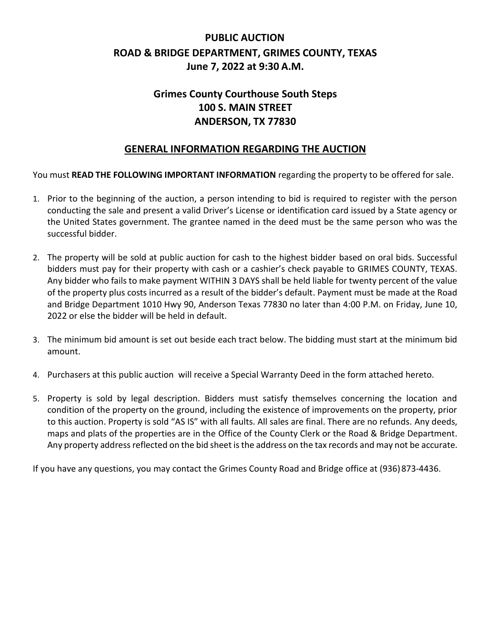# **PUBLIC AUCTION ROAD & BRIDGE DEPARTMENT, GRIMES COUNTY, TEXAS June 7, 2022 at 9:30 A.M.**

## **Grimes County Courthouse South Steps 100 S. MAIN STREET ANDERSON, TX 77830**

## **GENERAL INFORMATION REGARDING THE AUCTION**

You must **READ THE FOLLOWING IMPORTANT INFORMATION** regarding the property to be offered for sale.

- 1. Prior to the beginning of the auction, a person intending to bid is required to register with the person conducting the sale and present a valid Driver's License or identification card issued by a State agency or the United States government. The grantee named in the deed must be the same person who was the successful bidder.
- 2. The property will be sold at public auction for cash to the highest bidder based on oral bids. Successful bidders must pay for their property with cash or a cashier's check payable to GRIMES COUNTY, TEXAS. Any bidder who fails to make payment WITHIN 3 DAYS shall be held liable for twenty percent of the value of the property plus costs incurred as a result of the bidder's default. Payment must be made at the Road and Bridge Department 1010 Hwy 90, Anderson Texas 77830 no later than 4:00 P.M. on Friday, June 10, 2022 or else the bidder will be held in default.
- 3. The minimum bid amount is set out beside each tract below. The bidding must start at the minimum bid amount.
- 4. Purchasers at this public auction will receive a Special Warranty Deed in the form attached hereto.
- 5. Property is sold by legal description. Bidders must satisfy themselves concerning the location and condition of the property on the ground, including the existence of improvements on the property, prior to this auction. Property is sold "AS IS" with all faults. All sales are final. There are no refunds. Any deeds, maps and plats of the properties are in the Office of the County Clerk or the Road & Bridge Department. Any property address reflected on the bid sheet is the address on the tax records and may not be accurate.

If you have any questions, you may contact the Grimes County Road and Bridge office at (936)873-4436.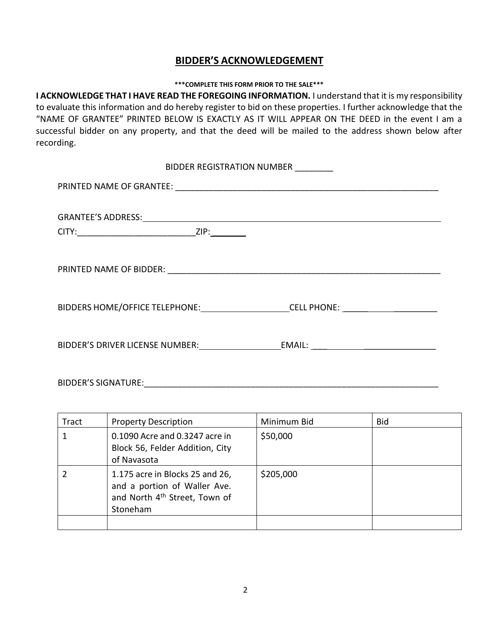### **BIDDER'S ACKNOWLEDGEMENT**

### **\*\*\*COMPLETE THIS FORM PRIOR TO THE SALE\*\*\***

**I ACKNOWLEDGE THAT I HAVE READ THE FOREGOING INFORMATION.** I understand that it is my responsibility to evaluate this information and do hereby register to bid on these properties. I further acknowledge that the "NAME OF GRANTEE" PRINTED BELOW IS EXACTLY AS IT WILL APPEAR ON THE DEED in the event I am a successful bidder on any property, and that the deed will be mailed to the address shown below after recording.

| BIDDER REGISTRATION NUMBER ________                    |  |  |
|--------------------------------------------------------|--|--|
|                                                        |  |  |
|                                                        |  |  |
|                                                        |  |  |
|                                                        |  |  |
|                                                        |  |  |
|                                                        |  |  |
|                                                        |  |  |
|                                                        |  |  |
| BIDDERS HOME/OFFICE TELEPHONE: CELL PHONE: CELL PHONE: |  |  |
|                                                        |  |  |
|                                                        |  |  |
|                                                        |  |  |

BIDDER'S SIGNATURE:\_\_\_\_\_\_\_\_\_\_\_\_\_\_\_\_\_\_\_\_\_\_\_\_\_\_\_\_\_\_\_\_\_\_\_\_\_\_\_\_\_\_\_\_\_\_\_\_\_\_\_\_\_\_\_\_\_\_\_\_\_

| Tract | <b>Property Description</b>                                                                                              | Minimum Bid | <b>Bid</b> |
|-------|--------------------------------------------------------------------------------------------------------------------------|-------------|------------|
|       | 0.1090 Acre and 0.3247 acre in<br>Block 56, Felder Addition, City<br>of Navasota                                         | \$50,000    |            |
|       | 1.175 acre in Blocks 25 and 26,<br>and a portion of Waller Ave.<br>and North 4 <sup>th</sup> Street, Town of<br>Stoneham | \$205,000   |            |